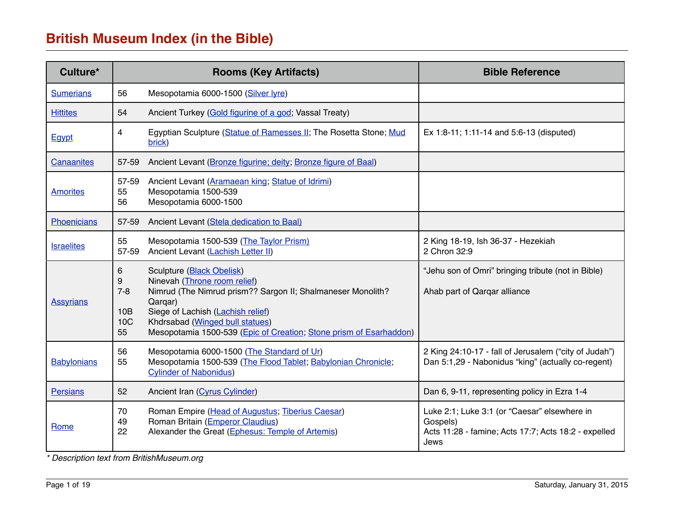| Culture*          | <b>Rooms (Key Artifacts)</b>                             |                                                                                                                                                                                                                                                                                          | <b>Bible Reference</b>                                                                                                   |  |
|-------------------|----------------------------------------------------------|------------------------------------------------------------------------------------------------------------------------------------------------------------------------------------------------------------------------------------------------------------------------------------------|--------------------------------------------------------------------------------------------------------------------------|--|
| <b>Sumerians</b>  | 56                                                       | Mesopotamia 6000-1500 (Silver lyre)                                                                                                                                                                                                                                                      |                                                                                                                          |  |
| <b>Hittites</b>   | 54                                                       | Ancient Turkey (Gold figurine of a god; Vassal Treaty)                                                                                                                                                                                                                                   |                                                                                                                          |  |
| Egypt             | 4                                                        | Egyptian Sculpture (Statue of Ramesses II; The Rosetta Stone; Mud<br>brick)                                                                                                                                                                                                              | Ex 1:8-11; 1:11-14 and 5:6-13 (disputed)                                                                                 |  |
| Canaanites        | 57-59                                                    | Ancient Levant (Bronze figurine; deity; Bronze figure of Baal)                                                                                                                                                                                                                           |                                                                                                                          |  |
| <b>Amorites</b>   | 57-59<br>55<br>56                                        | Ancient Levant (Aramaean king; Statue of Idrimi)<br>Mesopotamia 1500-539<br>Mesopotamia 6000-1500                                                                                                                                                                                        |                                                                                                                          |  |
| Phoenicians       | 57-59                                                    | Ancient Levant (Stela dedication to Baal)                                                                                                                                                                                                                                                |                                                                                                                          |  |
| <b>Israelites</b> | 55<br>57-59                                              | Mesopotamia 1500-539 (The Taylor Prism)<br>Ancient Levant (Lachish Letter II)                                                                                                                                                                                                            | 2 King 18-19, Ish 36-37 - Hezekiah<br>2 Chron 32:9                                                                       |  |
| <b>Assyrians</b>  | 6<br>9<br>$7 - 8$<br>10 <sub>B</sub><br><b>10C</b><br>55 | <b>Sculpture (Black Obelisk)</b><br>Ninevah (Throne room relief)<br>Nimrud (The Nimrud prism?? Sargon II; Shalmaneser Monolith?<br>Qarqar)<br>Siege of Lachish (Lachish relief)<br>Khdrsabad (Winged bull statues)<br>Mesopotamia 1500-539 (Epic of Creation; Stone prism of Esarhaddon) | "Jehu son of Omri" bringing tribute (not in Bible)<br>Ahab part of Qarqar alliance                                       |  |
| Babylonians       | 56<br>55                                                 | Mesopotamia 6000-1500 (The Standard of Ur)<br>Mesopotamia 1500-539 (The Flood Tablet; Babylonian Chronicle;<br><b>Cylinder of Nabonidus)</b>                                                                                                                                             | 2 King 24:10-17 - fall of Jerusalem ("city of Judah")<br>Dan 5:1,29 - Nabonidus "king" (actually co-regent)              |  |
| <b>Persians</b>   | 52                                                       | Ancient Iran (Cyrus Cylinder)                                                                                                                                                                                                                                                            | Dan 6, 9-11, representing policy in Ezra 1-4                                                                             |  |
| <b>Rome</b>       | 70<br>49<br>22                                           | Roman Empire (Head of Augustus; Tiberius Caesar)<br>Roman Britain (Emperor Claudius)<br>Alexander the Great (Ephesus: Temple of Artemis)                                                                                                                                                 | Luke 2:1; Luke 3:1 (or "Caesar" elsewhere in<br>Gospels)<br>Acts 11:28 - famine; Acts 17:7; Acts 18:2 - expelled<br>Jews |  |

*\* Description text from BritishMuseum.org*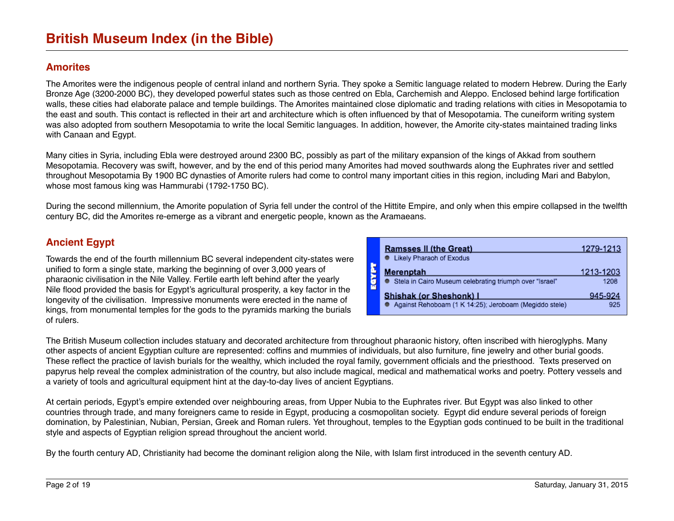#### <span id="page-1-1"></span>**Amorites**

The Amorites were the indigenous people of central inland and northern Syria. They spoke a Semitic language related to modern Hebrew. During the Early Bronze Age (3200-2000 BC), they developed powerful states such as those centred on Ebla, Carchemish and Aleppo. Enclosed behind large fortification walls, these cities had elaborate palace and temple buildings. The Amorites maintained close diplomatic and trading relations with cities in Mesopotamia to the east and south. This contact is reflected in their art and architecture which is often influenced by that of Mesopotamia. The cuneiform writing system was also adopted from southern Mesopotamia to write the local Semitic languages. In addition, however, the Amorite city-states maintained trading links with Canaan and Egypt.

Many cities in Syria, including Ebla were destroyed around 2300 BC, possibly as part of the military expansion of the kings of Akkad from southern Mesopotamia. Recovery was swift, however, and by the end of this period many Amorites had moved southwards along the Euphrates river and settled throughout Mesopotamia By 1900 BC dynasties of Amorite rulers had come to control many important cities in this region, including Mari and Babylon, whose most famous king was Hammurabi (1792-1750 BC).

During the second millennium, the Amorite population of Syria fell under the control of the Hittite Empire, and only when this empire collapsed in the twelfth century BC, did the Amorites re-emerge as a vibrant and energetic people, known as the Aramaeans.

### <span id="page-1-0"></span>**Ancient Egypt**

Towards the end of the fourth millennium BC several independent city-states were unified to form a single state, marking the beginning of over 3,000 years of pharaonic civilisation in the Nile Valley. Fertile earth left behind after the yearly Nile flood provided the basis for Egypt's agricultural prosperity, a key factor in the longevity of the civilisation. Impressive monuments were erected in the name of kings, from monumental temples for the gods to the pyramids marking the burials of rulers.

| <b>Ramsses II (the Great)</b>                             | 1279-1213               |
|-----------------------------------------------------------|-------------------------|
| • Likely Pharaoh of Exodus                                |                         |
| <b>Merenptah</b>                                          | 1213-1203               |
| ● Stela in Cairo Museum celebrating triumph over "Israel" | 1208                    |
|                                                           | 945-924                 |
| Against Rehoboam (1 K 14:25); Jeroboam (Megiddo stele)    | 925                     |
|                                                           | Shishak (or Sheshonk) I |

The British Museum collection includes statuary and decorated architecture from throughout pharaonic history, often inscribed with hieroglyphs. Many other aspects of ancient Egyptian culture are represented: coffins and mummies of individuals, but also furniture, fine jewelry and other burial goods. These reflect the practice of lavish burials for the wealthy, which included the royal family, government officials and the priesthood. Texts preserved on papyrus help reveal the complex administration of the country, but also include magical, medical and mathematical works and poetry. Pottery vessels and a variety of tools and agricultural equipment hint at the day-to-day lives of ancient Egyptians.

At certain periods, Egypt's empire extended over neighbouring areas, from Upper Nubia to the Euphrates river. But Egypt was also linked to other countries through trade, and many foreigners came to reside in Egypt, producing a cosmopolitan society. Egypt did endure several periods of foreign domination, by Palestinian, Nubian, Persian, Greek and Roman rulers. Yet throughout, temples to the Egyptian gods continued to be built in the traditional style and aspects of Egyptian religion spread throughout the ancient world.

By the fourth century AD, Christianity had become the dominant religion along the Nile, with Islam first introduced in the seventh century AD.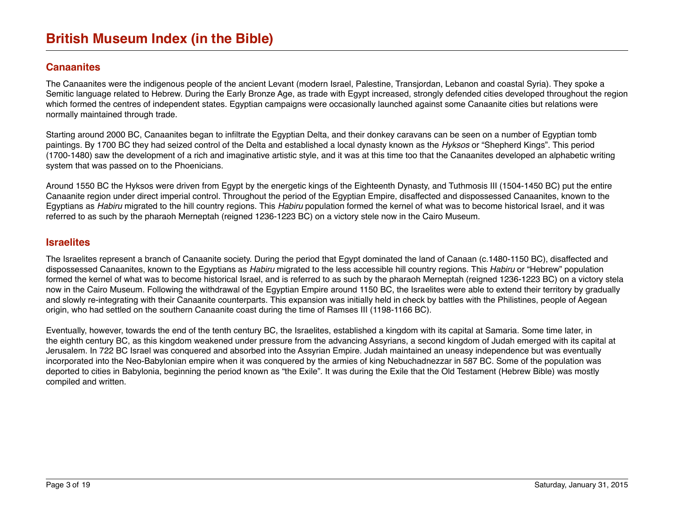### <span id="page-2-0"></span>**Canaanite[s](http://www.britishmuseum.org/explore/highlights/highlight_objects/me/p/pendant,_tell_el-cajju_hoard.aspx)**

The Canaanites were the indigenous people of the ancient Levant (modern Israel, Palestine, Transjordan, Lebanon and coastal Syria). They spoke a Semitic language related to Hebrew. During the Early Bronze Age, as trade with Egypt increased, strongly defended cities developed throughout the region which formed the centres of independent states. Egyptian campaigns were occasionally launched against some Canaanite cities but relations were normally maintained through trade.

Starting around 2000 BC, Canaanites began to infiltrate the Egyptian Delta, and their donkey caravans can be seen on a number of Egyptian tomb paintings. By 1700 BC they had seized control of the Delta and established a local dynasty known as the *Hyksos* or "Shepherd Kings". This period (1700-1480) saw the development of a rich and imaginative artistic style, and it was at this time too that the Canaanites developed an alphabetic writing system that was passed on to the Phoenicians.

Around 1550 BC the Hyksos were driven from Egypt by the energetic kings of the Eighteenth Dynasty, and Tuthmosis III (1504-1450 BC) put the entire Canaanite region under direct imperial control. Throughout the period of the Egyptian Empire, disaffected and dispossessed Canaanites, known to the Egyptians as *Habiru* migrated to the hill country regions. This *Habiru* population formed the kernel of what was to become historical Israel, and it was referred to as such by the pharaoh Merneptah (reigned 1236-1223 BC) on a victory stele now in the Cairo Museum.

#### <span id="page-2-1"></span>**Israelite[s](http://www.britishmuseum.org/explore/highlights/highlight_objects/me/t/black_obelisk_of_shalmaneser.aspx)**

The Israelites represent a branch of Canaanite society. During the period that Egypt dominated the land of Canaan (c.1480-1150 BC), disaffected and dispossessed Canaanites, known to the Egyptians as *Habiru* migrated to the less accessible hill country regions. This *Habiru* or "Hebrew" population formed the kernel of what was to become historical Israel, and is referred to as such by the pharaoh Merneptah (reigned 1236-1223 BC) on a victory stela now in the Cairo Museum. Following the withdrawal of the Egyptian Empire around 1150 BC, the Israelites were able to extend their territory by gradually and slowly re-integrating with their Canaanite counterparts. This expansion was initially held in check by battles with the Philistines, people of Aegean origin, who had settled on the southern Canaanite coast during the time of Ramses III (1198-1166 BC).

Eventually, however, towards the end of the tenth century BC, the Israelites, established a kingdom with its capital at Samaria. Some time later, in the eighth century BC, as this kingdom weakened under pressure from the advancing Assyrians, a second kingdom of Judah emerged with its capital at Jerusalem. In 722 BC Israel was conquered and absorbed into the Assyrian Empire. Judah maintained an uneasy independence but was eventually incorporated into the Neo-Babylonian empire when it was conquered by the armies of king Nebuchadnezzar in 587 BC. Some of the population was deported to cities in Babylonia, beginning the period known as "the Exile". It was during the Exile that the Old Testament (Hebrew Bible) was mostly compiled and written.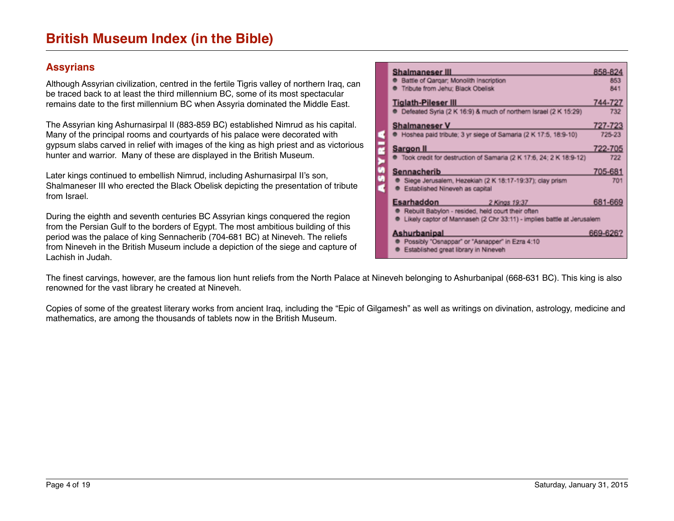### <span id="page-3-0"></span>**Assyrian[s](http://www.britishmuseum.org/explore/highlights/highlight_objects/me/t/stone_panel,_dying_lion.aspx)**

Although Assyrian civilization, centred in the fertile Tigris valley of northern Iraq, can be traced back to at least the third millennium BC, some of its most spectacular remains date to the first millennium BC when Assyria dominated the Middle East.

The Assyrian king Ashurnasirpal II (883-859 BC) established Nimrud as his capital. Many of the principal rooms and courtyards of his palace were decorated with gypsum slabs carved in relief with images of the king as high priest and as victorious hunter and warrior. Many of these are displayed in the British Museum.

Later kings continued to embellish Nimrud, including Ashurnasirpal II's son, Shalmaneser III who erected the Black Obelisk depicting the presentation of tribute from Israel.

During the eighth and seventh centuries BC Assyrian kings conquered the region from the Persian Gulf to the borders of Egypt. The most ambitious building of this period was the palace of king Sennacherib (704-681 BC) at Nineveh. The reliefs from Nineveh in the British Museum include a depiction of the siege and capture of Lachish in Judah.

| Shalmaneser III<br>858-824<br>Battle of Qargar; Monolith Inscription<br>853<br>Tribute from Jehu: Black Obelisk<br>841<br>744-727<br><b>Tiglath-Pileser III</b><br>Defeated Syria (2 K 16:9) & much of northern Israel (2 K 15:29)<br>732<br><b>Shalmaneser V</b><br>727-723<br>P Hoshea paid tribute; 3 yr siege of Samaria (2 K 17:5, 18:9-10)<br>725-23<br>722-705<br>Sargon II<br>Took credit for destruction of Samaria (2 K 17:6, 24; 2 K 18:9-12)<br>722<br>Sennacherib<br>705-681<br>Siege Jerusalem, Hezekiah (2 K 18:17-19:37); clay prism<br>701<br>Established Nineveh as capital<br>Esarhaddon<br>681-669 |  |  |  |
|------------------------------------------------------------------------------------------------------------------------------------------------------------------------------------------------------------------------------------------------------------------------------------------------------------------------------------------------------------------------------------------------------------------------------------------------------------------------------------------------------------------------------------------------------------------------------------------------------------------------|--|--|--|
|                                                                                                                                                                                                                                                                                                                                                                                                                                                                                                                                                                                                                        |  |  |  |
|                                                                                                                                                                                                                                                                                                                                                                                                                                                                                                                                                                                                                        |  |  |  |
|                                                                                                                                                                                                                                                                                                                                                                                                                                                                                                                                                                                                                        |  |  |  |
|                                                                                                                                                                                                                                                                                                                                                                                                                                                                                                                                                                                                                        |  |  |  |
|                                                                                                                                                                                                                                                                                                                                                                                                                                                                                                                                                                                                                        |  |  |  |
|                                                                                                                                                                                                                                                                                                                                                                                                                                                                                                                                                                                                                        |  |  |  |
|                                                                                                                                                                                                                                                                                                                                                                                                                                                                                                                                                                                                                        |  |  |  |
|                                                                                                                                                                                                                                                                                                                                                                                                                                                                                                                                                                                                                        |  |  |  |
|                                                                                                                                                                                                                                                                                                                                                                                                                                                                                                                                                                                                                        |  |  |  |
|                                                                                                                                                                                                                                                                                                                                                                                                                                                                                                                                                                                                                        |  |  |  |
|                                                                                                                                                                                                                                                                                                                                                                                                                                                                                                                                                                                                                        |  |  |  |
|                                                                                                                                                                                                                                                                                                                                                                                                                                                                                                                                                                                                                        |  |  |  |
|                                                                                                                                                                                                                                                                                                                                                                                                                                                                                                                                                                                                                        |  |  |  |
|                                                                                                                                                                                                                                                                                                                                                                                                                                                                                                                                                                                                                        |  |  |  |
| 2 Kings 19:37                                                                                                                                                                                                                                                                                                                                                                                                                                                                                                                                                                                                          |  |  |  |
| Rebuilt Babylon - resided, held court their often                                                                                                                                                                                                                                                                                                                                                                                                                                                                                                                                                                      |  |  |  |
| Likely captor of Mannaseh (2 Chr 33:11) - implies battle at Jerusalem                                                                                                                                                                                                                                                                                                                                                                                                                                                                                                                                                  |  |  |  |
|                                                                                                                                                                                                                                                                                                                                                                                                                                                                                                                                                                                                                        |  |  |  |
| Ashurbanipal<br>669-626?                                                                                                                                                                                                                                                                                                                                                                                                                                                                                                                                                                                               |  |  |  |
| Possibly "Osnappar" or "Asnapper" in Ezra 4:10                                                                                                                                                                                                                                                                                                                                                                                                                                                                                                                                                                         |  |  |  |
| Established great library in Nineveh                                                                                                                                                                                                                                                                                                                                                                                                                                                                                                                                                                                   |  |  |  |

The finest carvings, however, are the famous lion hunt reliefs from the North Palace at Nineveh belonging to Ashurbanipal (668-631 BC). This king is also renowned for the vast library he created at Nineveh.

Copies of some of the greatest literary works from ancient Iraq, including the "Epic of Gilgamesh" as well as writings on divination, astrology, medicine and mathematics, are among the thousands of tablets now in the British Museum.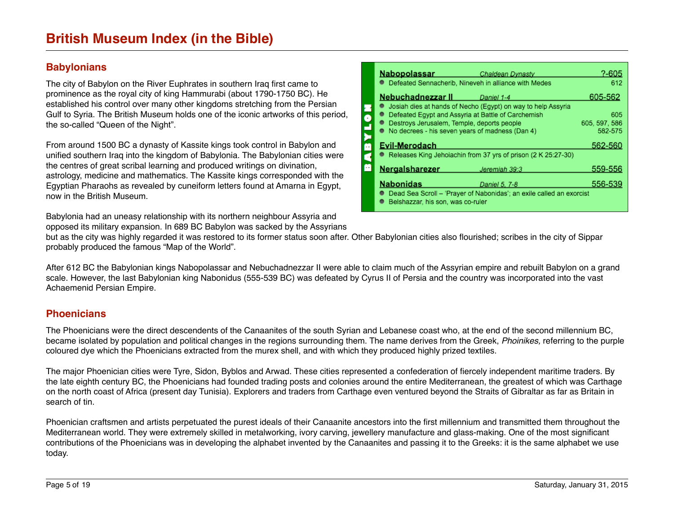## <span id="page-4-1"></span>**Babylonians**

The city of Babylon on the River Euphrates in southern Iraq first came to prominence as the royal city of king Hammurabi (about 1790-1750 BC). He established his control over many other kingdoms stretching from the Persian Gulf to Syria. The British Museum holds one of the iconic artworks of this period, the so-called "Queen of the Night".

From around 1500 BC a dynasty of Kassite kings took control in Babylon and unified southern Iraq into the kingdom of Babylonia. The Babylonian cities were the centres of great scribal learning and produced writings on divination, astrology, medicine and mathematics. The Kassite kings corresponded with the Egyptian Pharaohs as revealed by cuneiform letters found at Amarna in Egypt, now in the British Museum.

Babylonia had an uneasy relationship with its northern neighbour Assyria and opposed its military expansion. In 689 BC Babylon was sacked by the Assyrians

| <u>Nabopolassar</u><br><b>Chaldean Dynasty</b>                                                   | ?-605                |
|--------------------------------------------------------------------------------------------------|----------------------|
| Defeated Sennacherib, Nineveh in alliance with Medes                                             | 612                  |
| <b>Nebuchadnezzar II Daniel 1-4</b>                                                              | 605-562              |
| Josiah dies at hands of Necho (Egypt) on way to help Assyria                                     |                      |
| Defeated Egypt and Assyria at Battle of Carchemish<br>Destroys Jerusalem, Temple, deports people | 605<br>605, 597, 586 |
| No decrees - his seven years of madness (Dan 4)                                                  | 582-575              |
| Evil-Merodach                                                                                    | 562-560              |
| Releases King Jehoiachin from 37 yrs of prison (2 K 25:27-30)                                    |                      |
| Nergalsharezer<br>Jeremiah 39:3                                                                  | 559-556              |
| <b>Nabonidas</b><br>Daniel 5, 7-8                                                                | 556-539              |
| Dead Sea Scroll - 'Prayer of Nabonidas'; an exile called an exorcist                             |                      |
| Belshazzar, his son, was co-ruler                                                                |                      |

but as the city was highly regarded it was restored to its former status soon after. Other Babylonian cities also flourished; scribes in the city of Sippar probably produced the famous "Map of the World".

After 612 BC the Babylonian kings Nabopolassar and Nebuchadnezzar II were able to claim much of the Assyrian empire and rebuilt Babylon on a grand scale. However, the last Babylonian king Nabonidus (555-539 BC) was defeated by Cyrus II of Persia and the country was incorporated into the vast Achaemenid Persian Empire.

## <span id="page-4-0"></span>**Phoenicians**

The Phoenicians were the direct descendents of the Canaanites of the south Syrian and Lebanese coast who, at the end of the second millennium BC, became isolated by population and political changes in the regions surrounding them. The name derives from the Greek, *Phoinikes,* referring to the purple coloured dye which the Phoenicians extracted from the murex shell, and with which they produced highly prized textiles.

The major Phoenician cities were Tyre, Sidon, Byblos and Arwad. These cities represented a confederation of fiercely independent maritime traders. By the late eighth century BC, the Phoenicians had founded trading posts and colonies around the entire Mediterranean, the greatest of which was Carthage on the north coast of Africa (present day Tunisia). Explorers and traders from Carthage even ventured beyond the Straits of Gibraltar as far as Britain in search of tin.

Phoenician craftsmen and artists perpetuated the purest ideals of their Canaanite ancestors into the first millennium and transmitted them throughout the Mediterranean world. They were extremely skilled in metalworking, ivory carving, jewellery manufacture and glass-making. One of the most significant contributions of the Phoenicians was in developing the alphabet invented by the Canaanites and passing it to the Greeks: it is the same alphabet we use today.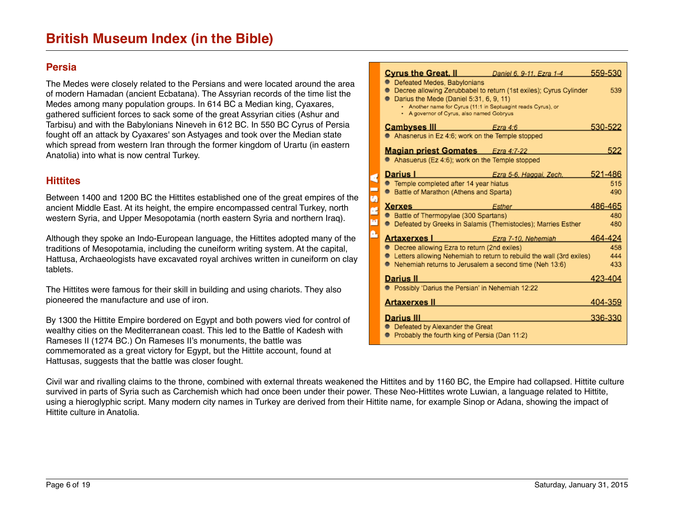#### <span id="page-5-1"></span>**Persia**

The Medes were closely related to the Persians and were located around the area of modern Hamadan (ancient Ecbatana). The Assyrian records of the time list the Medes among many population groups. In 614 BC a Median king, Cyaxares, gathered sufficient forces to sack some of the great Assyrian cities (Ashur and Tarbisu) and with the Babylonians Nineveh in 612 BC. In 550 BC Cyrus of Persia fought off an attack by Cyaxares' son Astyages and took over the Median state which spread from western Iran through the former kingdom of Urartu (in eastern Anatolia) into what is now central Turkey.

#### <span id="page-5-0"></span>**Hittites**

Between 1400 and 1200 BC the Hittites established one of the great empires of the ancient Middle East. At its height, the empire encompassed central Turkey, north western Syria, and Upper Mesopotamia (north eastern Syria and northern Iraq).

Although they spoke an Indo-European language, the Hittites adopted many of the traditions of Mesopotamia, including the cuneiform writing system. At the capital, Hattusa, Archaeologists have excavated royal archives written in cuneiform on clay tablets.

The Hittites were famous for their skill in building and using chariots. They also pioneered the manufacture and use of iron.

By 1300 the Hittite Empire bordered on Egypt and both powers vied for control of wealthy cities on the Mediterranean coast. This led to the Battle of Kadesh with Rameses II (1274 BC.) On Rameses II's monuments, the battle was commemorated as a great victory for Egypt, but the Hittite account, found at Hattusas, suggests that the battle was closer fought.

| <u>Cyrus the Great, II</u><br>Daniel 6, 9-11, Ezra 1-4               | 559-530 |  |  |  |  |
|----------------------------------------------------------------------|---------|--|--|--|--|
| Defeated Medes, Babylonians                                          |         |  |  |  |  |
| Decree allowing Zerubbabel to return (1st exiles); Cyrus Cylinder    | 539     |  |  |  |  |
| Darius the Mede (Daniel 5:31, 6, 9, 11)                              |         |  |  |  |  |
| . Another name for Cyrus (11:1 in Septuagint reads Cyrus), or        |         |  |  |  |  |
| • A governor of Cyrus, also named Gobryus                            |         |  |  |  |  |
| <u>Cambvses III</u><br>Ezra 4:6                                      | 530-522 |  |  |  |  |
| Ahasnerus in Ez 4:6; work on the Temple stopped                      |         |  |  |  |  |
| <b>Magian priest Gomates</b> Ezra 4:7-22                             | 522     |  |  |  |  |
| Ahasuerus (Ez 4:6); work on the Temple stopped                       |         |  |  |  |  |
|                                                                      |         |  |  |  |  |
| Darius I<br>Ezra 5-6, Haggai, Zech.                                  | 521-486 |  |  |  |  |
| Temple completed after 14 year hiatus                                | 515     |  |  |  |  |
| ● Battle of Marathon (Athens and Sparta)                             | 490     |  |  |  |  |
| Xerxes<br>Esther                                                     | 486-465 |  |  |  |  |
| Battle of Thermopylae (300 Spartans)                                 | 480     |  |  |  |  |
| • Defeated by Greeks in Salamis (Themistocles); Marries Esther       | 480     |  |  |  |  |
|                                                                      |         |  |  |  |  |
| Artaxerxes I<br>Ezra 7-10, Nehemiah                                  | 464-424 |  |  |  |  |
| Decree allowing Ezra to return (2nd exiles)                          | 458     |  |  |  |  |
| Letters allowing Nehemiah to return to rebuild the wall (3rd exiles) | 444     |  |  |  |  |
| Nehemiah returns to Jerusalem a second time (Neh 13:6)               | 433     |  |  |  |  |
| Darius II                                                            | 423-404 |  |  |  |  |
| Possibly 'Darius the Persian' in Nehemiah 12:22                      |         |  |  |  |  |
|                                                                      |         |  |  |  |  |
| Artaxerxes II                                                        | 404-359 |  |  |  |  |
| Darius III                                                           | 336-330 |  |  |  |  |
| Defeated by Alexander the Great                                      |         |  |  |  |  |
| Probably the fourth king of Persia (Dan 11:2)                        |         |  |  |  |  |

Civil war and rivalling claims to the throne, combined with external threats weakened the Hittites and by 1160 BC, the Empire had collapsed. Hittite culture survived in parts of Syria such as Carchemish which had once been under their power. These Neo-Hittites wrote Luwian, a language related to Hittite, using a hieroglyphic script. Many modern city names in Turkey are derived from their Hittite name, for example Sinop or Adana, showing the impact of Hittite culture in Anatolia.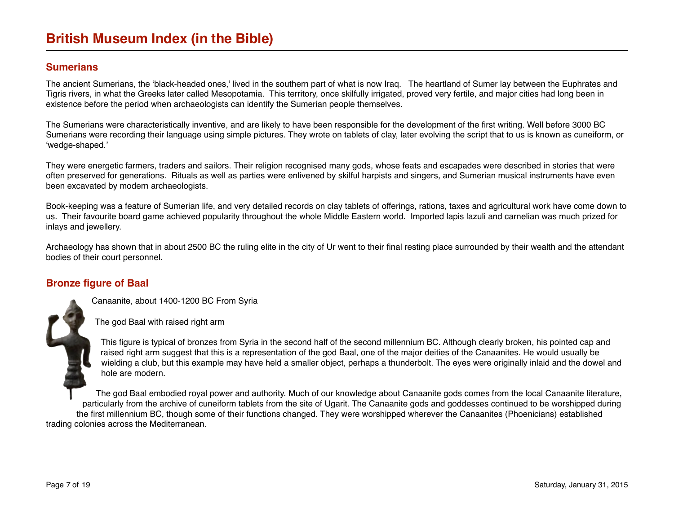#### <span id="page-6-0"></span>**Sumerians**

The ancient Sumerians, the 'black-headed ones,' lived in the southern part of what is now Iraq. The heartland of Sumer lay between the Euphrates and Tigris rivers, in what the Greeks later called Mesopotamia. This territory, once skilfully irrigated, proved very fertile, and major cities had long been in existence before the period when archaeologists can identify the Sumerian people themselves.

The Sumerians were characteristically inventive, and are likely to have been responsible for the development of the first writing. Well before 3000 BC Sumerians were recording their language using simple pictures. They wrote on tablets of clay, later evolving the script that to us is known as cuneiform, or 'wedge-shaped.'

They were energetic farmers, traders and sailors. Their religion recognised many gods, whose feats and escapades were described in stories that were often preserved for generations. Rituals as well as parties were enlivened by skilful harpists and singers, and Sumerian musical instruments have even been excavated by modern archaeologists.

Book-keeping was a feature of Sumerian life, and very detailed records on clay tablets of offerings, rations, taxes and agricultural work have come down to us. Their favourite board game achieved popularity throughout the whole Middle Eastern world. Imported lapis lazuli and carnelian was much prized for inlays and jewellery.

Archaeology has shown that in about 2500 BC the ruling elite in the city of Ur went to their final resting place surrounded by their wealth and the attendant bodies of their court personnel.

#### <span id="page-6-1"></span>**Bronze figure of Baal**

Canaanite, about 1400-1200 BC From Syria

The god Baal with raised right arm

This figure is typical of bronzes from Syria in the second half of the second millennium BC. Although clearly broken, his pointed cap and raised right arm suggest that this is a representation of the god Baal, one of the major deities of the Canaanites. He would usually be wielding a club, but this example may have held a smaller object, perhaps a thunderbolt. The eyes were originally inlaid and the dowel and hole are modern.

The god Baal embodied royal power and authority. Much of our knowledge about Canaanite gods comes from the local Canaanite literature, particularly from the archive of cuneiform tablets from the site of Ugarit. The Canaanite gods and goddesses continued to be worshipped during the first millennium BC, though some of their functions changed. They were worshipped wherever the Canaanites (Phoenicians) established trading colonies across the Mediterranean.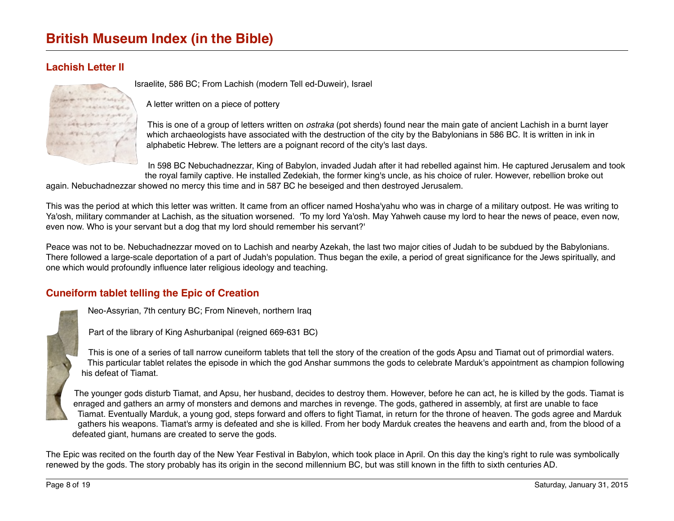# <span id="page-7-0"></span>**Lachish Letter II**



Israelite, 586 BC; From Lachish (modern Tell ed-Duweir), Israel

A letter written on a piece of pottery

This is one of a group of letters written on *ostraka* (pot sherds) found near the main gate of ancient Lachish in a burnt layer which archaeologists have associated with the destruction of the city by the Babylonians in 586 BC. It is written in ink in alphabetic Hebrew. The letters are a poignant record of the city's last days.

In 598 BC Nebuchadnezzar, King of Babylon, invaded Judah after it had rebelled against him. He captured Jerusalem and took the royal family captive. He installed Zedekiah, the former king's uncle, as his choice of ruler. However, rebellion broke out

again. Nebuchadnezzar showed no mercy this time and in 587 BC he beseiged and then destroyed Jerusalem.

This was the period at which this letter was written. It came from an officer named Hosha'yahu who was in charge of a military outpost. He was writing to Ya'osh, military commander at Lachish, as the situation worsened. 'To my lord Ya'osh. May Yahweh cause my lord to hear the news of peace, even now, even now. Who is your servant but a dog that my lord should remember his servant?'

Peace was not to be. Nebuchadnezzar moved on to Lachish and nearby Azekah, the last two major cities of Judah to be subdued by the Babylonians. There followed a large-scale deportation of a part of Judah's population. Thus began the exile, a period of great significance for the Jews spiritually, and one which would profoundly influence later religious ideology and teaching.

# <span id="page-7-1"></span>**Cuneiform tablet telling the Epic of Creation**

Neo-Assyrian, 7th century BC; From Nineveh, northern Iraq

Part of the library of King Ashurbanipal (reigned 669-631 BC)

This is one of a series of tall narrow cuneiform tablets that tell the story of the creation of the gods Apsu and Tiamat out of primordial waters. This particular tablet relates the episode in which the god Anshar summons the gods to celebrate Marduk's appointment as champion following his defeat of Tiamat.

The younger gods disturb Tiamat, and Apsu, her husband, decides to destroy them. However, before he can act, he is killed by the gods. Tiamat is enraged and gathers an army of monsters and demons and marches in revenge. The gods, gathered in assembly, at first are unable to face Tiamat. Eventually Marduk, a young god, steps forward and offers to fight Tiamat, in return for the throne of heaven. The gods agree and Marduk gathers his weapons. Tiamat's army is defeated and she is killed. From her body Marduk creates the heavens and earth and, from the blood of a defeated giant, humans are created to serve the gods.

The Epic was recited on the fourth day of the New Year Festival in Babylon, which took place in April. On this day the king's right to rule was symbolically renewed by the gods. The story probably has its origin in the second millennium BC, but was still known in the fifth to sixth centuries AD.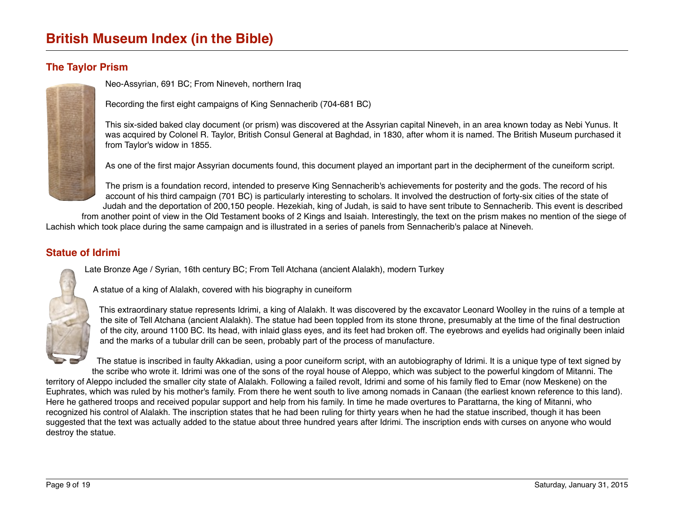### <span id="page-8-1"></span>**The Taylor Prism**

Neo-Assyrian, 691 BC; From Nineveh, northern Iraq

Recording the first eight campaigns of King Sennacherib (704-681 BC)

This six-sided baked clay document (or prism) was discovered at the Assyrian capital Nineveh, in an area known today as Nebi Yunus. It was acquired by Colonel R. Taylor, British Consul General at Baghdad, in 1830, after whom it is named. The British Museum purchased it from Taylor's widow in 1855.

As one of the first major Assyrian documents found, this document played an important part in the decipherment of the cuneiform script.

The prism is a foundation record, intended to preserve King Sennacherib's achievements for posterity and the gods. The record of his account of his third campaign (701 BC) is particularly interesting to scholars. It involved the destruction of forty-six cities of the state of Judah and the deportation of 200,150 people. Hezekiah, king of Judah, is said to have sent tribute to Sennacherib. This event is described

from another point of view in the Old Testament books of 2 Kings and Isaiah. Interestingly, the text on the prism makes no mention of the siege of Lachish which took place during the same campaign and is illustrated in a series of panels from Sennacherib's palace at Nineveh.

### <span id="page-8-0"></span>**Statue of Idrimi**

Late Bronze Age / Syrian, 16th century BC; From Tell Atchana (ancient Alalakh), modern Turkey



A statue of a king of Alalakh, covered with his biography in cuneiform

This extraordinary statue represents Idrimi, a king of Alalakh. It was discovered by the excavator Leonard Woolley in the ruins of a temple at the site of Tell Atchana (ancient Alalakh). The statue had been toppled from its stone throne, presumably at the time of the final destruction of the city, around 1100 BC. Its head, with inlaid glass eyes, and its feet had broken off. The eyebrows and eyelids had originally been inlaid and the marks of a tubular drill can be seen, probably part of the process of manufacture.

The statue is inscribed in faulty Akkadian, using a poor cuneiform script, with an autobiography of Idrimi. It is a unique type of text signed by the scribe who wrote it. Idrimi was one of the sons of the royal house of Aleppo, which was subject to the powerful kingdom of Mitanni. The territory of Aleppo included the smaller city state of Alalakh. Following a failed revolt, Idrimi and some of his family fled to Emar (now Meskene) on the Euphrates, which was ruled by his mother's family. From there he went south to live among nomads in Canaan (the earliest known reference to this land). Here he gathered troops and received popular support and help from his family. In time he made overtures to Parattarna, the king of Mitanni, who recognized his control of Alalakh. The inscription states that he had been ruling for thirty years when he had the statue inscribed, though it has been suggested that the text was actually added to the statue about three hundred years after Idrimi. The inscription ends with curses on anyone who would destroy the statue.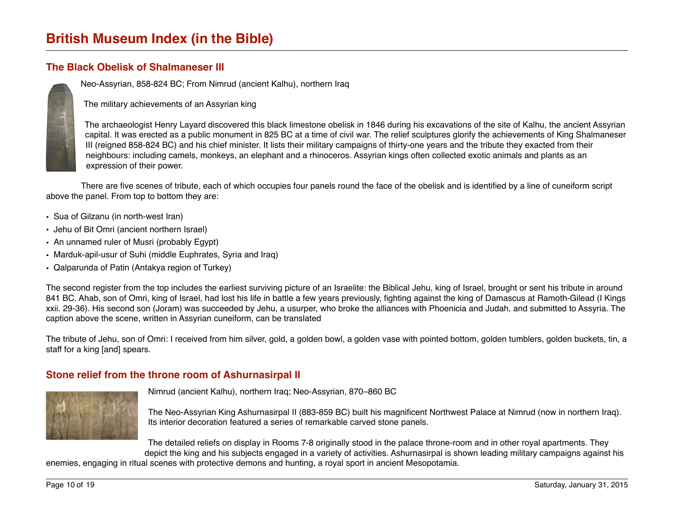### <span id="page-9-0"></span>**The Black Obelisk of Shalmaneser III**

Neo-Assyrian, 858-824 BC; From Nimrud (ancient Kalhu), northern Iraq

The military achievements of an Assyrian king

The archaeologist Henry Layard discovered this black limestone obelisk in 1846 during his excavations of the site of Kalhu, the ancient Assyrian capital. It was erected as a public monument in 825 BC at a time of civil war. The relief sculptures glorify the achievements of King Shalmaneser III (reigned 858-824 BC) and his chief minister. It lists their military campaigns of thirty-one years and the tribute they exacted from their neighbours: including camels, monkeys, an elephant and a rhinoceros. Assyrian kings often collected exotic animals and plants as an expression of their power.

There are five scenes of tribute, each of which occupies four panels round the face of the obelisk and is identified by a line of cuneiform script above the panel. From top to bottom they are:

- Sua of Gilzanu (in north-west Iran)
- Jehu of Bit Omri (ancient northern Israel)
- An unnamed ruler of Musri (probably Egypt)
- Marduk-apil-usur of Suhi (middle Euphrates, Syria and Iraq)
- Qalparunda of Patin (Antakya region of Turkey)

The second register from the top includes the earliest surviving picture of an Israelite: the Biblical Jehu, king of Israel, brought or sent his tribute in around 841 BC. Ahab, son of Omri, king of Israel, had lost his life in battle a few years previously, fighting against the king of Damascus at Ramoth-Gilead (I Kings xxii. 29-36). His second son (Joram) was succeeded by Jehu, a usurper, who broke the alliances with Phoenicia and Judah, and submitted to Assyria. The caption above the scene, written in Assyrian cuneiform, can be translated

The tribute of Jehu, son of Omri: I received from him silver, gold, a golden bowl, a golden vase with pointed bottom, golden tumblers, golden buckets, tin, a staff for a king [and] spears.

#### <span id="page-9-1"></span>**Stone relief from the throne room of Ashurnasirpal II**



Nimrud (ancient Kalhu), northern Iraq; Neo-Assyrian, 870–860 BC

The Neo-Assyrian King Ashurnasirpal II (883-859 BC) built his magnificent Northwest Palace at Nimrud (now in northern Iraq). Its interior decoration featured a series of remarkable carved stone panels.

The detailed reliefs on display in Rooms 7-8 originally stood in the palace throne-room and in other royal apartments. They depict the king and his subjects engaged in a variety of activities. Ashurnasirpal is shown leading military campaigns against his

enemies, engaging in ritual scenes with protective demons and hunting, a royal sport in ancient Mesopotamia.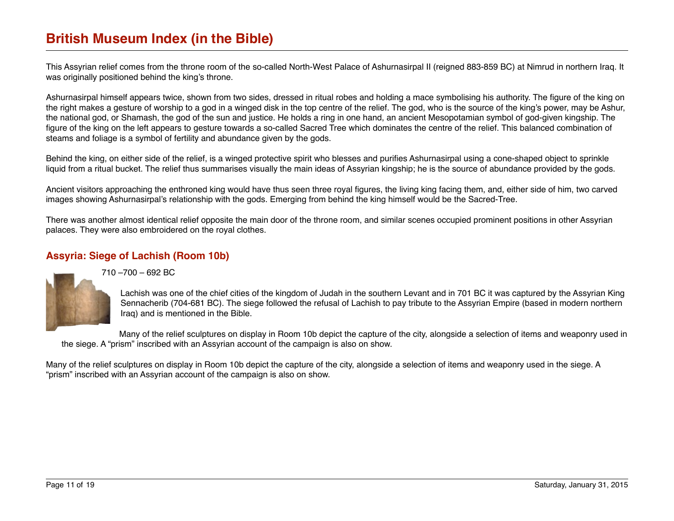This Assyrian relief comes from the throne room of the so-called North-West Palace of Ashurnasirpal II (reigned 883-859 BC) at Nimrud in northern Iraq. It was originally positioned behind the king's throne.

Ashurnasirpal himself appears twice, shown from two sides, dressed in ritual robes and holding a mace symbolising his authority. The figure of the king on the right makes a gesture of worship to a god in a winged disk in the top centre of the relief. The god, who is the source of the king's power, may be Ashur, the national god, or Shamash, the god of the sun and justice. He holds a ring in one hand, an ancient Mesopotamian symbol of god-given kingship. The figure of the king on the left appears to gesture towards a so-called Sacred Tree which dominates the centre of the relief. This balanced combination of steams and foliage is a symbol of fertility and abundance given by the gods.

Behind the king, on either side of the relief, is a winged protective spirit who blesses and purifies Ashurnasirpal using a cone-shaped object to sprinkle liquid from a ritual bucket. The relief thus summarises visually the main ideas of Assyrian kingship; he is the source of abundance provided by the gods.

Ancient visitors approaching the enthroned king would have thus seen three royal figures, the living king facing them, and, either side of him, two carved images showing Ashurnasirpal's relationship with the gods. Emerging from behind the king himself would be the Sacred-Tree.

There was another almost identical relief opposite the main door of the throne room, and similar scenes occupied prominent positions in other Assyrian palaces. They were also embroidered on the royal clothes.

### <span id="page-10-0"></span>**Assyria: Siege of Lachish (Room 10b)**



710 –700 – 692 BC

Lachish was one of the chief cities of the kingdom of Judah in the southern Levant and in 701 BC it was captured by the Assyrian King Sennacherib (704-681 BC). The siege followed the refusal of Lachish to pay tribute to the Assyrian Empire (based in modern northern Iraq) and is mentioned in the Bible.

Many of the relief sculptures on display in Room 10b depict the capture of the city, alongside a selection of items and weaponry used in the siege. A "prism" inscribed with an Assyrian account of the campaign is also on show.

Many of the relief sculptures on display in Room 10b depict the capture of the city, alongside a selection of items and weaponry used in the siege. A "prism" inscribed with an Assyrian account of the campaign is also on show.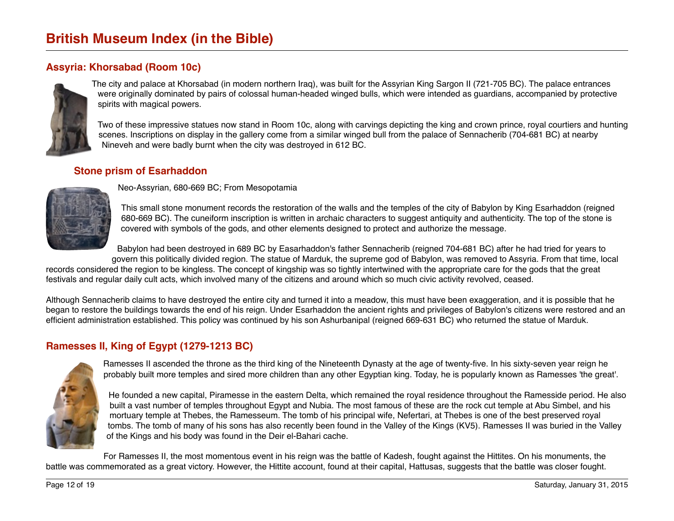# <span id="page-11-1"></span>**Assyria: Khorsabad (Room 10c)**



The city and palace at Khorsabad (in modern northern Iraq), was built for the Assyrian King Sargon II (721-705 BC). The palace entrances were originally dominated by pairs of colossal human-headed winged bulls, which were intended as guardians, accompanied by protective spirits with magical powers.

Two of these impressive statues now stand in Room 10c, along with carvings depicting the king and crown prince, royal courtiers and hunting scenes. Inscriptions on display in the gallery come from a similar winged bull from the palace of Sennacherib (704-681 BC) at nearby Nineveh and were badly burnt when the city was destroyed in 612 BC.

#### <span id="page-11-2"></span>**Stone prism of Esarhaddon**



Neo-Assyrian, 680-669 BC; From Mesopotamia

This small stone monument records the restoration of the walls and the temples of the city of Babylon by King Esarhaddon (reigned 680-669 BC). The cuneiform inscription is written in archaic characters to suggest antiquity and authenticity. The top of the stone is covered with symbols of the gods, and other elements designed to protect and authorize the message.

Babylon had been destroyed in 689 BC by Easarhaddon's father Sennacherib (reigned 704-681 BC) after he had tried for years to

govern this politically divided region. The statue of Marduk, the supreme god of Babylon, was removed to Assyria. From that time, local records considered the region to be kingless. The concept of kingship was so tightly intertwined with the appropriate care for the gods that the great festivals and regular daily cult acts, which involved many of the citizens and around which so much civic activity revolved, ceased.

Although Sennacherib claims to have destroyed the entire city and turned it into a meadow, this must have been exaggeration, and it is possible that he began to restore the buildings towards the end of his reign. Under Esarhaddon the ancient rights and privileges of Babylon's citizens were restored and an efficient administration established. This policy was continued by his son Ashurbanipal (reigned 669-631 BC) who returned the statue of Marduk.

#### <span id="page-11-0"></span>**Ramesses II, King of Egypt (1279-1213 BC)**



Ramesses II ascended the throne as the third king of the Nineteenth Dynasty at the age of twenty-five. In his sixty-seven year reign he probably built more temples and sired more children than any other Egyptian king. Today, he is popularly known as Ramesses 'the great'.

He founded a new capital, Piramesse in the eastern Delta, which remained the royal residence throughout the Ramesside period. He also built a vast number of temples throughout Egypt and Nubia. The most famous of these are the rock cut temple at Abu Simbel, and his mortuary temple at Thebes, the Ramesseum. The tomb of his principal wife, Nefertari, at Thebes is one of the best preserved royal tombs. The tomb of many of his sons has also recently been found in the Valley of the Kings (KV5). Ramesses II was buried in the Valley of the Kings and his body was found in the Deir el-Bahari cache.

For Ramesses II, the most momentous event in his reign was the battle of Kadesh, fought against the Hittites. On his monuments, the battle was commemorated as a great victory. However, the Hittite account, found at their capital, Hattusas, suggests that the battle was closer fought.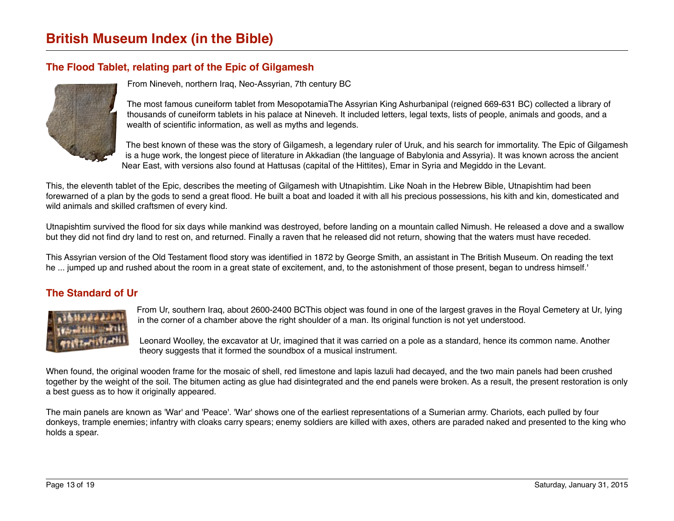# <span id="page-12-1"></span>**The Flood Tablet, relating part of the Epic of Gilgamesh**



From Nineveh, northern Iraq, Neo-Assyrian, 7th century BC

The most famous cuneiform tablet from MesopotamiaThe Assyrian King Ashurbanipal (reigned 669-631 BC) collected a library of thousands of cuneiform tablets in his palace at Nineveh. It included letters, legal texts, lists of people, animals and goods, and a wealth of scientific information, as well as myths and legends.

The best known of these was the story of Gilgamesh, a legendary ruler of Uruk, and his search for immortality. The Epic of Gilgamesh is a huge work, the longest piece of literature in Akkadian (the language of Babylonia and Assyria). It was known across the ancient Near East, with versions also found at Hattusas (capital of the Hittites), Emar in Syria and Megiddo in the Levant.

This, the eleventh tablet of the Epic, describes the meeting of Gilgamesh with Utnapishtim. Like Noah in the Hebrew Bible, Utnapishtim had been forewarned of a plan by the gods to send a great flood. He built a boat and loaded it with all his precious possessions, his kith and kin, domesticated and wild animals and skilled craftsmen of every kind.

Utnapishtim survived the flood for six days while mankind was destroyed, before landing on a mountain called Nimush. He released a dove and a swallow but they did not find dry land to rest on, and returned. Finally a raven that he released did not return, showing that the waters must have receded.

This Assyrian version of the Old Testament flood story was identified in 1872 by George Smith, an assistant in The British Museum. On reading the text he ... jumped up and rushed about the room in a great state of excitement, and, to the astonishment of those present, began to undress himself.'

## <span id="page-12-0"></span>**The Standard of Ur**



From Ur, southern Iraq, about 2600-2400 BCThis object was found in one of the largest graves in the Royal Cemetery at Ur, lying in the corner of a chamber above the right shoulder of a man. Its original function is not yet understood.

Leonard Woolley, the excavator at Ur, imagined that it was carried on a pole as a standard, hence its common name. Another theory suggests that it formed the soundbox of a musical instrument.

When found, the original wooden frame for the mosaic of shell, red limestone and lapis lazuli had decayed, and the two main panels had been crushed together by the weight of the soil. The bitumen acting as glue had disintegrated and the end panels were broken. As a result, the present restoration is only a best guess as to how it originally appeared.

The main panels are known as 'War' and 'Peace'. 'War' shows one of the earliest representations of a Sumerian army. Chariots, each pulled by four donkeys, trample enemies; infantry with cloaks carry spears; enemy soldiers are killed with axes, others are paraded naked and presented to the king who holds a spear.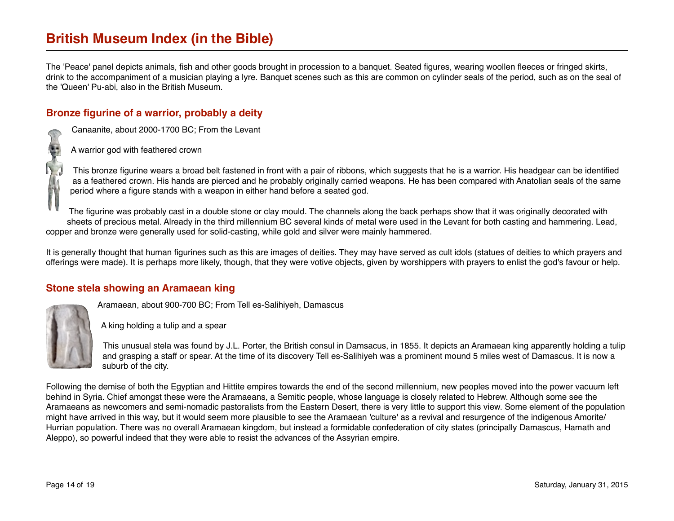The 'Peace' panel depicts animals, fish and other goods brought in procession to a banquet. Seated figures, wearing woollen fleeces or fringed skirts, drink to the accompaniment of a musician playing a lyre. Banquet scenes such as this are common on cylinder seals of the period, such as on the seal of the 'Queen' Pu-abi, also in the British Museum.

### <span id="page-13-0"></span>**Bronze figurine of a warrior, probably a deity**

Canaanite, about 2000-1700 BC; From the Levant

A warrior god with feathered crown

This bronze figurine wears a broad belt fastened in front with a pair of ribbons, which suggests that he is a warrior. His headgear can be identified as a feathered crown. His hands are pierced and he probably originally carried weapons. He has been compared with Anatolian seals of the same period where a figure stands with a weapon in either hand before a seated god.

The figurine was probably cast in a double stone or clay mould. The channels along the back perhaps show that it was originally decorated with sheets of precious metal. Already in the third millennium BC several kinds of metal were used in the Levant for both casting and hammering. Lead, copper and bronze were generally used for solid-casting, while gold and silver were mainly hammered.

It is generally thought that human figurines such as this are images of deities. They may have served as cult idols (statues of deities to which prayers and offerings were made). It is perhaps more likely, though, that they were votive objects, given by worshippers with prayers to enlist the god's favour or help.

## <span id="page-13-1"></span>**Stone stela showing an Aramaean king**

Aramaean, about 900-700 BC; From Tell es-Salihiyeh, Damascus

A king holding a tulip and a spear

This unusual stela was found by J.L. Porter, the British consul in Damsacus, in 1855. It depicts an Aramaean king apparently holding a tulip and grasping a staff or spear. At the time of its discovery Tell es-Salihiyeh was a prominent mound 5 miles west of Damascus. It is now a suburb of the city.

Following the demise of both the Egyptian and Hittite empires towards the end of the second millennium, new peoples moved into the power vacuum left behind in Syria. Chief amongst these were the Aramaeans, a Semitic people, whose language is closely related to Hebrew. Although some see the Aramaeans as newcomers and semi-nomadic pastoralists from the Eastern Desert, there is very little to support this view. Some element of the population might have arrived in this way, but it would seem more plausible to see the Aramaean 'culture' as a revival and resurgence of the indigenous Amorite/ Hurrian population. There was no overall Aramaean kingdom, but instead a formidable confederation of city states (principally Damascus, Hamath and Aleppo), so powerful indeed that they were able to resist the advances of the Assyrian empire.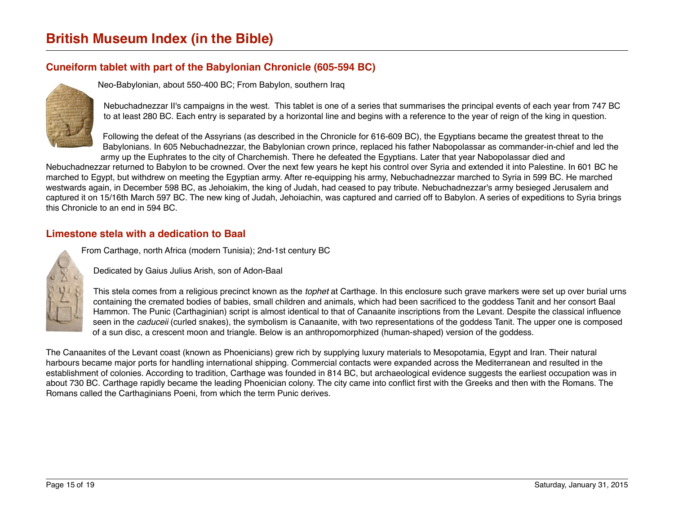# <span id="page-14-1"></span>**Cuneiform tablet with part of the Babylonian Chronicle (605-594 BC)**



Neo-Babylonian, about 550-400 BC; From Babylon, southern Iraq

Nebuchadnezzar II's campaigns in the west. This tablet is one of a series that summarises the principal events of each year from 747 BC to at least 280 BC. Each entry is separated by a horizontal line and begins with a reference to the year of reign of the king in question.

Following the defeat of the Assyrians (as described in the Chronicle for 616-609 BC), the Egyptians became the greatest threat to the Babylonians. In 605 Nebuchadnezzar, the Babylonian crown prince, replaced his father Nabopolassar as commander-in-chief and led the army up the Euphrates to the city of Charchemish. There he defeated the Egyptians. Later that year Nabopolassar died and

Nebuchadnezzar returned to Babylon to be crowned. Over the next few years he kept his control over Syria and extended it into Palestine. In 601 BC he marched to Egypt, but withdrew on meeting the Egyptian army. After re-equipping his army, Nebuchadnezzar marched to Syria in 599 BC. He marched westwards again, in December 598 BC, as Jehoiakim, the king of Judah, had ceased to pay tribute. Nebuchadnezzar's army besieged Jerusalem and captured it on 15/16th March 597 BC. The new king of Judah, Jehoiachin, was captured and carried off to Babylon. A series of expeditions to Syria brings this Chronicle to an end in 594 BC.

#### <span id="page-14-0"></span>**Limestone stela with a dedication to Baal**

From Carthage, north Africa (modern Tunisia); 2nd-1st century BC

Dedicated by Gaius Julius Arish, son of Adon-Baal

This stela comes from a religious precinct known as the *tophet* at Carthage. In this enclosure such grave markers were set up over burial urns containing the cremated bodies of babies, small children and animals, which had been sacrificed to the goddess Tanit and her consort Baal Hammon. The Punic (Carthaginian) script is almost identical to that of Canaanite inscriptions from the Levant. Despite the classical influence seen in the *caduceii* (curled snakes), the symbolism is Canaanite, with two representations of the goddess Tanit. The upper one is composed of a sun disc, a crescent moon and triangle. Below is an anthropomorphized (human-shaped) version of the goddess.

The Canaanites of the Levant coast (known as Phoenicians) grew rich by supplying luxury materials to Mesopotamia, Egypt and Iran. Their natural harbours became major ports for handling international shipping. Commercial contacts were expanded across the Mediterranean and resulted in the establishment of colonies. According to tradition, Carthage was founded in 814 BC, but archaeological evidence suggests the earliest occupation was in about 730 BC. Carthage rapidly became the leading Phoenician colony. The city came into conflict first with the Greeks and then with the Romans. The Romans called the Carthaginians Poeni, from which the term Punic derives.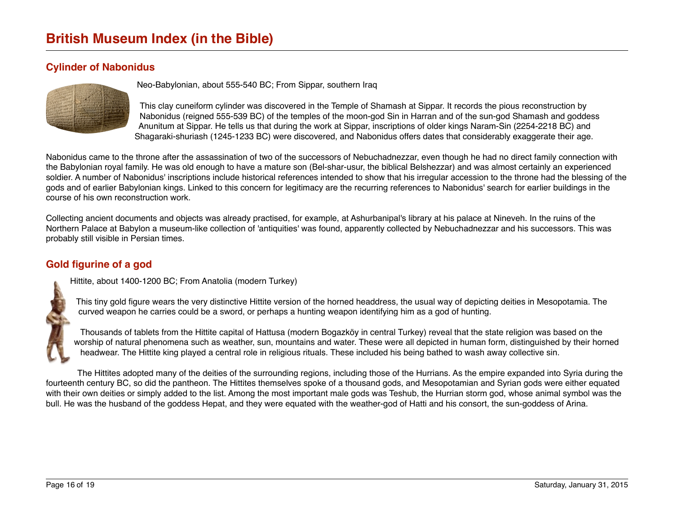# <span id="page-15-1"></span>**Cylinder of Nabonidus**



Neo-Babylonian, about 555-540 BC; From Sippar, southern Iraq

This clay cuneiform cylinder was discovered in the Temple of Shamash at Sippar. It records the pious reconstruction by Nabonidus (reigned 555-539 BC) of the temples of the moon-god Sin in Harran and of the sun-god Shamash and goddess Anunitum at Sippar. He tells us that during the work at Sippar, inscriptions of older kings Naram-Sin (2254-2218 BC) and Shagaraki-shuriash (1245-1233 BC) were discovered, and Nabonidus offers dates that considerably exaggerate their age.

Nabonidus came to the throne after the assassination of two of the successors of Nebuchadnezzar, even though he had no direct family connection with the Babylonian royal family. He was old enough to have a mature son (Bel-shar-usur, the biblical Belshezzar) and was almost certainly an experienced soldier. A number of Nabonidus' inscriptions include historical references intended to show that his irregular accession to the throne had the blessing of the gods and of earlier Babylonian kings. Linked to this concern for legitimacy are the recurring references to Nabonidus' search for earlier buildings in the course of his own reconstruction work.

Collecting ancient documents and objects was already practised, for example, at Ashurbanipal's library at his palace at Nineveh. In the ruins of the Northern Palace at Babylon a museum-like collection of 'antiquities' was found, apparently collected by Nebuchadnezzar and his successors. This was probably still visible in Persian times.

# <span id="page-15-0"></span>**Gold figurine of a god**

Hittite, about 1400-1200 BC; From Anatolia (modern Turkey)

This tiny gold figure wears the very distinctive Hittite version of the horned headdress, the usual way of depicting deities in Mesopotamia. The curved weapon he carries could be a sword, or perhaps a hunting weapon identifying him as a god of hunting.

Thousands of tablets from the Hittite capital of Hattusa (modern Bogazköy in central Turkey) reveal that the state religion was based on the worship of natural phenomena such as weather, sun, mountains and water. These were all depicted in human form, distinguished by their horned headwear. The Hittite king played a central role in religious rituals. These included his being bathed to wash away collective sin.

The Hittites adopted many of the deities of the surrounding regions, including those of the Hurrians. As the empire expanded into Syria during the fourteenth century BC, so did the pantheon. The Hittites themselves spoke of a thousand gods, and Mesopotamian and Syrian gods were either equated with their own deities or simply added to the list. Among the most important male gods was Teshub, the Hurrian storm god, whose animal symbol was the bull. He was the husband of the goddess Hepat, and they were equated with the weather-god of Hatti and his consort, the sun-goddess of Arina.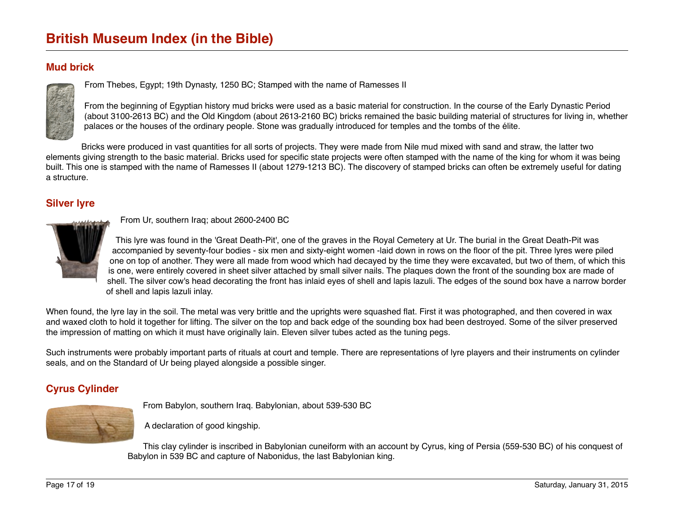# <span id="page-16-1"></span>**Mud brick**



From Thebes, Egypt; 19th Dynasty, 1250 BC; Stamped with the name of Ramesses II

From the beginning of Egyptian history mud bricks were used as a basic material for construction. In the course of the Early Dynastic Period (about 3100-2613 BC) and the Old Kingdom (about 2613-2160 BC) bricks remained the basic building material of structures for living in, whether palaces or the houses of the ordinary people. Stone was gradually introduced for temples and the tombs of the élite.

Bricks were produced in vast quantities for all sorts of projects. They were made from Nile mud mixed with sand and straw, the latter two elements giving strength to the basic material. Bricks used for specific state projects were often stamped with the name of the king for whom it was being built. This one is stamped with the name of Ramesses II (about 1279-1213 BC). The discovery of stamped bricks can often be extremely useful for dating a structure.

# <span id="page-16-0"></span>**Silver lyre**



From Ur, southern Iraq; about 2600-2400 BC

This lyre was found in the 'Great Death-Pit', one of the graves in the Royal Cemetery at Ur. The burial in the Great Death-Pit was accompanied by seventy-four bodies - six men and sixty-eight women -laid down in rows on the floor of the pit. Three lyres were piled one on top of another. They were all made from wood which had decayed by the time they were excavated, but two of them, of which this is one, were entirely covered in sheet silver attached by small silver nails. The plaques down the front of the sounding box are made of shell. The silver cow's head decorating the front has inlaid eyes of shell and lapis lazuli. The edges of the sound box have a narrow border of shell and lapis lazuli inlay.

When found, the lyre lay in the soil. The metal was very brittle and the uprights were squashed flat. First it was photographed, and then covered in wax and waxed cloth to hold it together for lifting. The silver on the top and back edge of the sounding box had been destroyed. Some of the silver preserved the impression of matting on which it must have originally lain. Eleven silver tubes acted as the tuning pegs.

Such instruments were probably important parts of rituals at court and temple. There are representations of lyre players and their instruments on cylinder seals, and on the Standard of Ur being played alongside a possible singer.

# <span id="page-16-2"></span>**Cyrus Cylinder**



From Babylon, southern Iraq. Babylonian, about 539-530 BC

A declaration of good kingship.

This clay cylinder is inscribed in Babylonian cuneiform with an account by Cyrus, king of Persia (559-530 BC) of his conquest of Babylon in 539 BC and capture of Nabonidus, the last Babylonian king.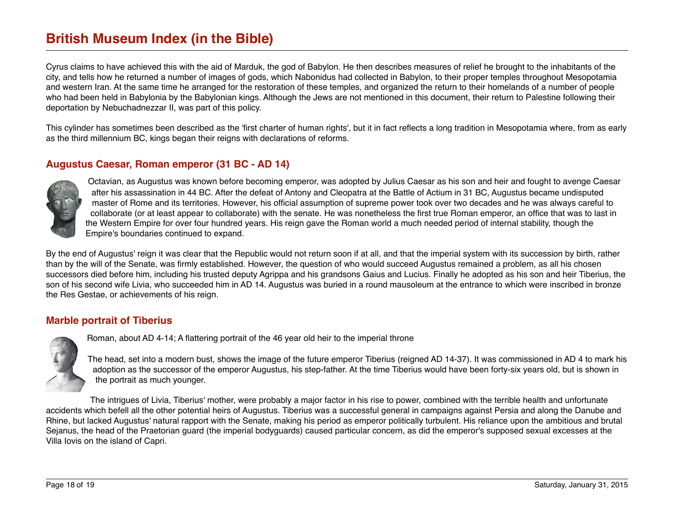Cyrus claims to have achieved this with the aid of Marduk, the god of Babylon. He then describes measures of relief he brought to the inhabitants of the city, and tells how he returned a number of images of gods, which Nabonidus had collected in Babylon, to their proper temples throughout Mesopotamia and western Iran. At the same time he arranged for the restoration of these temples, and organized the return to their homelands of a number of people who had been held in Babylonia by the Babylonian kings. Although the Jews are not mentioned in this document, their return to Palestine following their deportation by Nebuchadnezzar II, was part of this policy.

This cylinder has sometimes been described as the 'first charter of human rights', but it in fact reflects a long tradition in Mesopotamia where, from as early as the third millennium BC, kings began their reigns with declarations of reforms.

### <span id="page-17-0"></span>**Augustus Caesar, Roman emperor (31 BC - AD 14)**



Octavian, as Augustus was known before becoming emperor, was adopted by Julius Caesar as his son and heir and fought to avenge Caesar after his assassination in 44 BC. After the defeat of Antony and Cleopatra at the Battle of Actium in 31 BC, Augustus became undisputed master of Rome and its territories. However, his official assumption of supreme power took over two decades and he was always careful to collaborate (or at least appear to collaborate) with the senate. He was nonetheless the first true Roman emperor, an office that was to last in the Western Empire for over four hundred years. His reign gave the Roman world a much needed period of internal stability, though the Empire's boundaries continued to expand.

By the end of Augustus' reign it was clear that the Republic would not return soon if at all, and that the imperial system with its succession by birth, rather than by the will of the Senate, was firmly established. However, the question of who would succeed Augustus remained a problem, as all his chosen successors died before him, including his trusted deputy Agrippa and his grandsons Gaius and Lucius. Finally he adopted as his son and heir Tiberius, the son of his second wife Livia, who succeeded him in AD 14. Augustus was buried in a round mausoleum at the entrance to which were inscribed in bronze the Res Gestae, or achievements of his reign.

#### <span id="page-17-1"></span>**Marble portrait of Tiberius**



Roman, about AD 4-14; A flattering portrait of the 46 year old heir to the imperial throne

The head, set into a modern bust, shows the image of the future emperor Tiberius (reigned AD 14-37). It was commissioned in AD 4 to mark his adoption as the successor of the emperor Augustus, his step-father. At the time Tiberius would have been forty-six years old, but is shown in the portrait as much younger.

The intrigues of Livia, Tiberius' mother, were probably a major factor in his rise to power, combined with the terrible health and unfortunate accidents which befell all the other potential heirs of Augustus. Tiberius was a successful general in campaigns against Persia and along the Danube and Rhine, but lacked Augustus' natural rapport with the Senate, making his period as emperor politically turbulent. His reliance upon the ambitious and brutal Sejanus, the head of the Praetorian guard (the imperial bodyguards) caused particular concern, as did the emperor's supposed sexual excesses at the Villa Iovis on the island of Capri.